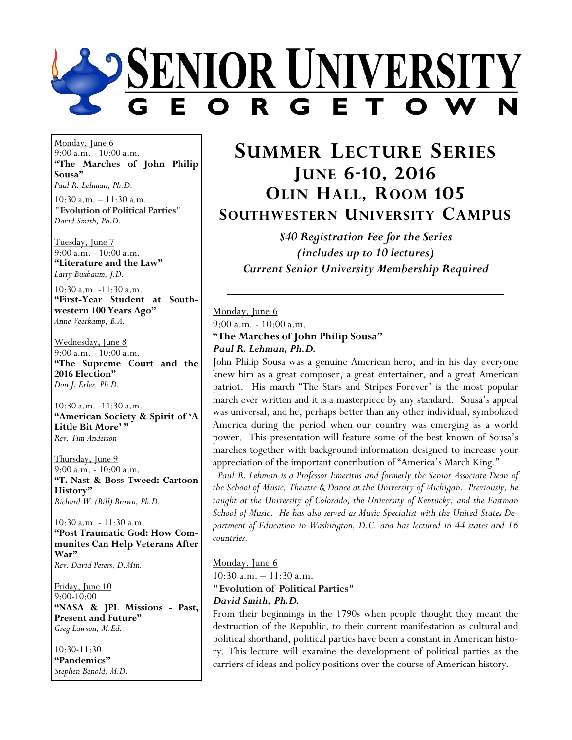

Monday, June 6 9:00 a.m. - 10:00 a.m. **"The Marches of John Philip Sousa"** *Paul R. Lehman, Ph.D.*

10:30 a.m. – 11:30 a.m. **"Evolution of Political Parties"** *David Smith, Ph.D.*

Tuesday, June 7 9:00 a.m. - 10:00 a.m. **"Literature and the Law"** *Larry Buxbaum, J.D.*

10:30 a.m. -11:30 a.m. **"First-Year Student at Southwestern 100 Years Ago"** *Anne Veerkamp, B.A.*

Wednesday, June 8 9:00 a.m. - 10:00 a.m. **"The Supreme Court and the 2016 Election"** *Don J. Erler, Ph.D.*

10:30 a.m. -11:30 a.m. **"American Society & Spirit of 'A Little Bit More' "** *Rev. Tim Anderson*

Thursday, June 9 9:00 a.m. - 10:00 a.m. **"T. Nast & Boss Tweed: Cartoon History"** *Richard W. (Bill) Brown, Ph.D.*

10:30 a.m. - 11:30 a.m. **"Post Traumatic God: How Communites Can Help Veterans After War"** *Rev. David Peters, D.Min.*

Friday, June 10 9:00-10:00 **"NASA & JPL Missions - Past, Present and Future"** *Greg Lawson, M.Ed.*

10:30-11:30 **"Pandemics"** *Stephen Benold, M.D.*

# **SUMMER LECTURE SERIES JUNE 6-10, 2016 OLIN HALL, ROOM 105 SOUTHWESTERN UNIVERSITY CAMPUS**

*\$40 Registration Fee for the Series (includes up to 10 lectures) Current Senior University Membership Required*

Monday, June 6 9:00 a.m. - 10:00 a.m. **"The Marches of John Philip Sousa"** *Paul R. Lehman, Ph.D.*

John Philip Sousa was a genuine American hero, and in his day everyone knew him as a great composer, a great entertainer, and a great American patriot. His march "The Stars and Stripes Forever" is the most popular march ever written and it is a masterpiece by any standard. Sousa's appeal was universal, and he, perhaps better than any other individual, symbolized America during the period when our country was emerging as a world power. This presentation will feature some of the best known of Sousa's marches together with background information designed to increase your appreciation of the important contribution of "America's March King."

 *Paul R. Lehman is a Professor Emeritus and formerly the Senior Associate Dean of the School of Music, Theatre & Dance at the University of Michigan. Previously, he*  taught at the University of Colorado, the University of Kentucky, and the Eastman *School of Music. He has also served as Music Specialist with the United States Department of Education in Washington, D.C. and has lectured in 44 states and 16 countries.*

# Monday, June 6

10:30 a.m. – 11:30 a.m.

**"Evolution of Political Parties"**

#### *David Smith, Ph.D.*

From their beginnings in the 1790s when people thought they meant the destruction of the Republic, to their current manifestation as cultural and political shorthand, political parties have been a constant in American history. This lecture will examine the development of political parties as the carriers of ideas and policy positions over the course of American history.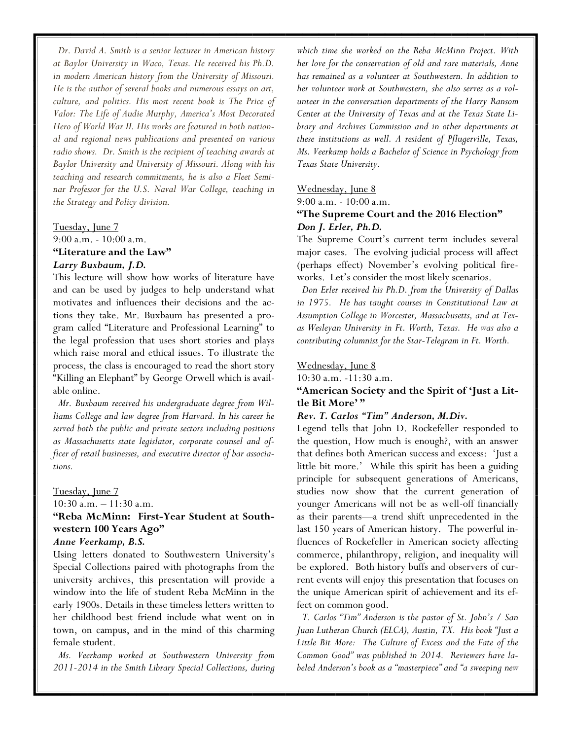*Dr. David A. Smith is a senior lecturer in American history at Baylor University in Waco, Texas. He received his Ph.D. in modern American history from the University of Missouri. He is the author of several books and numerous essays on art, culture, and politics. His most recent book is The Price of Valor: The Life of Audie Murphy, America's Most Decorated Hero of World War II. His works are featured in both national and regional news publications and presented on various radio shows. Dr. Smith is the recipient of teaching awards at Baylor University and University of Missouri. Along with his teaching and research commitments, he is also a Fleet Seminar Professor for the U.S. Naval War College, teaching in the Strategy and Policy division.*

# Tuesday, June 7 9:00 a.m. - 10:00 a.m. **"Literature and the Law"**  *Larry Buxbaum, J.D.*

This lecture will show how works of literature have and can be used by judges to help understand what motivates and influences their decisions and the actions they take. Mr. Buxbaum has presented a program called "Literature and Professional Learning" to the legal profession that uses short stories and plays which raise moral and ethical issues. To illustrate the process, the class is encouraged to read the short story "Killing an Elephant" by George Orwell which is available online.

 *Mr. Buxbaum received his undergraduate degree from Williams College and law degree from Harvard. In his career he served both the public and private sectors including positions as Massachusetts state legislator, corporate counsel and officer of retail businesses, and executive director of bar associations.*

#### Tuesday, June 7

10:30 a.m. – 11:30 a.m.

# **"Reba McMinn: First-Year Student at Southwestern 100 Years Ago"**

#### *Anne Veerkamp, B.S.*

Using letters donated to Southwestern University's Special Collections paired with photographs from the university archives, this presentation will provide a window into the life of student Reba McMinn in the early 1900s. Details in these timeless letters written to her childhood best friend include what went on in town, on campus, and in the mind of this charming female student.

 *Ms. Veerkamp worked at Southwestern University from 2011-2014 in the Smith Library Special Collections, during* 

*which time she worked on the Reba McMinn Project. With her love for the conservation of old and rare materials, Anne has remained as a volunteer at Southwestern. In addition to her volunteer work at Southwestern, she also serves as a volunteer in the conversation departments of the Harry Ransom Center at the University of Texas and at the Texas State Library and Archives Commission and in other departments at these institutions as well. A resident of Pflugerville, Texas, Ms. Veerkamp holds a Bachelor of Science in Psychology from Texas State University.* 

#### Wednesday, June 8

9:00 a.m. - 10:00 a.m.

### **"The Supreme Court and the 2016 Election"** *Don J. Erler, Ph.D.*

The Supreme Court's current term includes several major cases. The evolving judicial process will affect (perhaps effect) November's evolving political fireworks. Let's consider the most likely scenarios.

 *Don Erler received his Ph.D. from the University of Dallas in 1975. He has taught courses in Constitutional Law at Assumption College in Worcester, Massachusetts, and at Texas Wesleyan University in Ft. Worth, Texas. He was also a contributing columnist for the Star-Telegram in Ft. Worth.*

#### Wednesday, June 8

10:30 a.m. -11:30 a.m.

### **"American Society and the Spirit of 'Just a Little Bit More' "**

#### *Rev. T. Carlos "Tim" Anderson, M.Div.*

Legend tells that John D. Rockefeller responded to the question, How much is enough?, with an answer that defines both American success and excess: 'Just a little bit more.' While this spirit has been a guiding principle for subsequent generations of Americans, studies now show that the current generation of younger Americans will not be as well-off financially as their parents—a trend shift unprecedented in the last 150 years of American history. The powerful influences of Rockefeller in American society affecting commerce, philanthropy, religion, and inequality will be explored. Both history buffs and observers of current events will enjoy this presentation that focuses on the unique American spirit of achievement and its effect on common good.

 *T. Carlos "Tim" Anderson is the pastor of St. John's / San Juan Lutheran Church (ELCA), Austin, TX. His book "Just a Little Bit More: The Culture of Excess and the Fate of the Common Good" was published in 2014. Reviewers have labeled Anderson's book as a "masterpiece" and "a sweeping new*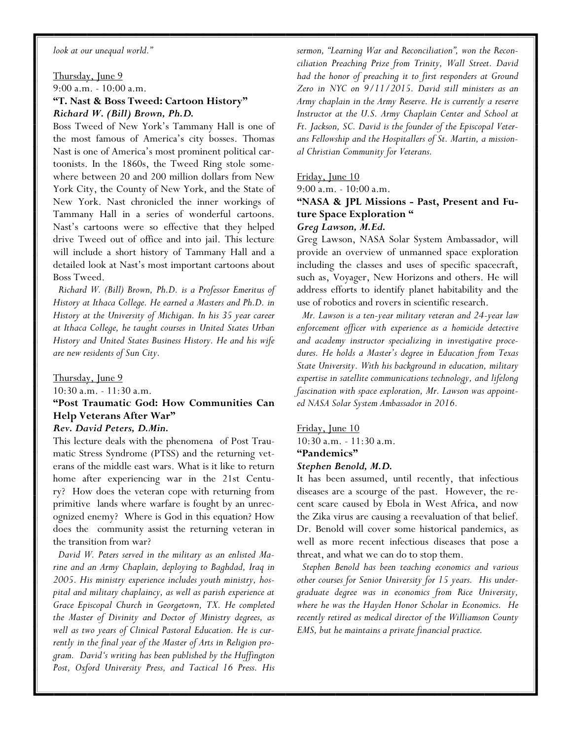*look at our unequal world."*

Thursday, June 9 9:00 a.m. - 10:00 a.m. **"T. Nast & Boss Tweed: Cartoon History"** *Richard W. (Bill) Brown, Ph.D.*

Boss Tweed of New York's Tammany Hall is one of the most famous of America's city bosses. Thomas Nast is one of America's most prominent political cartoonists. In the 1860s, the Tweed Ring stole somewhere between 20 and 200 million dollars from New York City, the County of New York, and the State of New York. Nast chronicled the inner workings of Tammany Hall in a series of wonderful cartoons. Nast's cartoons were so effective that they helped drive Tweed out of office and into jail. This lecture will include a short history of Tammany Hall and a detailed look at Nast's most important cartoons about Boss Tweed.

 *Richard W. (Bill) Brown, Ph.D. is a Professor Emeritus of History at Ithaca College. He earned a Masters and Ph.D. in History at the University of Michigan. In his 35 year career at Ithaca College, he taught courses in United States Urban History and United States Business History. He and his wife are new residents of Sun City.*

Thursday, June 9

10:30 a.m. - 11:30 a.m.

# **"Post Traumatic God: How Communities Can Help Veterans After War"** *Rev. David Peters, D.Min.*

This lecture deals with the phenomena of Post Traumatic Stress Syndrome (PTSS) and the returning veterans of the middle east wars. What is it like to return home after experiencing war in the 21st Century? How does the veteran cope with returning from primitive lands where warfare is fought by an unrecognized enemy? Where is God in this equation? How does the community assist the returning veteran in the transition from war?

 *David W. Peters served in the military as an enlisted Marine and an Army Chaplain, deploying to Baghdad, Iraq in 2005. His ministry experience includes youth ministry, hospital and military chaplaincy, as well as parish experience at Grace Episcopal Church in Georgetown, TX. He completed the Master of Divinity and Doctor of Ministry degrees, as well as two years of Clinical Pastoral Education. He is currently in the final year of the Master of Arts in Religion program. David's writing has been published by the Huffington Post, Oxford University Press, and Tactical 16 Press. His*  *sermon, "Learning War and Reconciliation", won the Reconciliation Preaching Prize from Trinity, Wall Street. David had the honor of preaching it to first responders at Ground Zero in NYC on 9/11/2015. David still ministers as an Army chaplain in the Army Reserve. He is currently a reserve Instructor at the U.S. Army Chaplain Center and School at Ft. Jackson, SC. David is the founder of the Episcopal Veterans Fellowship and the Hospitallers of St. Martin, a missional Christian Community for Veterans.* 

Friday, June 10

9:00 a.m. - 10:00 a.m.

# **"NASA & JPL Missions - Past, Present and Future Space Exploration "**

*Greg Lawson, M.Ed.*

Greg Lawson, NASA Solar System Ambassador, will provide an overview of unmanned space exploration including the classes and uses of specific spacecraft, such as, Voyager, New Horizons and others. He will address efforts to identify planet habitability and the use of robotics and rovers in scientific research.

 *Mr. Lawson is a ten-year military veteran and 24-year law enforcement officer with experience as a homicide detective and academy instructor specializing in investigative procedures. He holds a Master's degree in Education from Texas State University. With his background in education, military expertise in satellite communications technology, and lifelong fascination with space exploration, Mr. Lawson was appointed NASA Solar System Ambassador in 2016.* 

Friday, June 10

10:30 a.m. - 11:30 a.m.

# **"Pandemics"**

#### *Stephen Benold, M.D.*

It has been assumed, until recently, that infectious diseases are a scourge of the past. However, the recent scare caused by Ebola in West Africa, and now the Zika virus are causing a reevaluation of that belief. Dr. Benold will cover some historical pandemics, as well as more recent infectious diseases that pose a threat, and what we can do to stop them.

 *Stephen Benold has been teaching economics and various other courses for Senior University for 15 years. His undergraduate degree was in economics from Rice University, where he was the Hayden Honor Scholar in Economics. He recently retired as medical director of the Williamson County EMS, but he maintains a private financial practice.*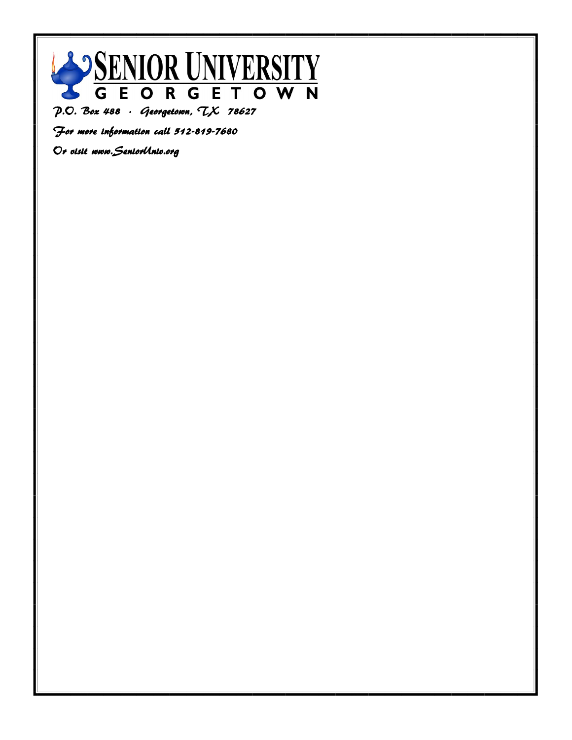

 $P. O. Box 488. Gee$  Georgetown,  $LX$  78627

For more information call 512-819-7680

Or visit www.SeniorUniv.org